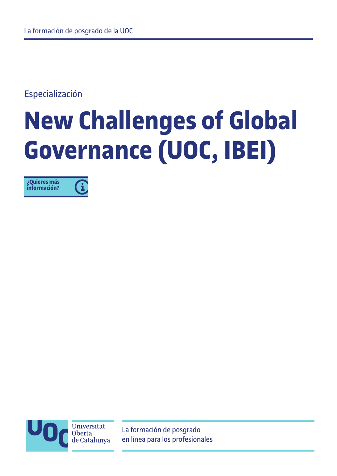Especialización

# **New Challenges of Global Governance (UOC, IBEI)**

**[¿Quieres más](http://estudios.uoc.edu/es/contacto-pdf)** 6 **información?**

> Universitat **Oberta** de Catalunya

La formación de posgrado en línea para los profesionales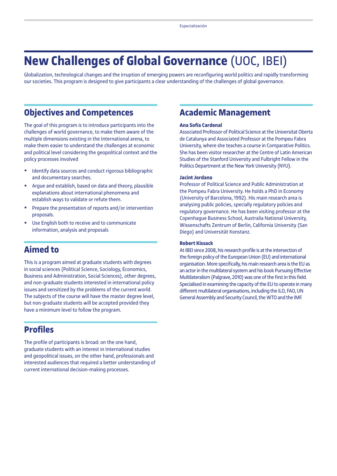## **New Challenges of Global Governance** (UOC, IBEI)

Globalization, technological changes and the irruption of emerging powers are reconfiguring world politics and rapidly transforming our societies. This program is designed to give participants a clear understanding of the challenges of global governance.

### **Objectives and Competences**

The goal of this program is to introduce participants into the challenges of world governance, to make them aware of the multiple dimensions existing in the International arena, to make them easier to understand the challenges at economic and political level considering the geopolitical context and the policy processes involved

- **•** Identify data sources and conduct rigorous bibliographic and documentary searches.
- **•** Argue and establish, based on data and theory, plausible explanations about international phenomena and establish ways to validate or refute them.
- **•** Prepare the presentation of reports and/or intervention proposals.
- **•** Use English both to receive and to communicate information, analysis and proposals

## **Aimed to**

This is a program aimed at graduate students with degrees in social sciences (Political Science, Sociology, Economics, Business and Administration, Social Sciences), other degrees, and non-graduate students interested in international policy issues and sensitized by the problems of the current world. The subjects of the course will have the master degree level, but non-graduate students will be accepted provided they have a minimum level to follow the program.

## **Profiles**

The profile of participants is broad: on the one hand, graduate students with an interest in International studies and geopolitical issues, on the other hand, professionals and interested audiences that required a better understanding of current international decision-making processes.

## **Academic Management**

#### **Ana Sofía Cardenal**

Associated Professor of Political Science at the Universitat Oberta de Catalunya and Associated Professor at the Pompeu Fabra University, where she teaches a course in Comparative Politics. She has been visitor researcher at the Centre of Latin American Studies of the Stanford University and Fulbright Fellow in the Politics Department at the New York University (NYU).

#### **Jacint Jordana**

Professor of Political Science and Public Administration at the Pompeu Fabra University. He holds a PhD in Economy (University of Barcelona, 1992). His main research area is analysing public policies, specially regulatory policies and regulatory governance. He has been visiting professor at the Copenhague Business School, Australia National University, Wissenschafts Zentrum of Berlin, California University (San Diego) and Universität Konstanz.

#### **Robert Kissack**

At IBEI since 2008, his research profile is at the intersection of the foreign policy of the European Union (EU) and international organisation. More specifically, his main research area is the EU as an actor in the multilateral system and his book Pursuing Effective Multilateralism (Palgrave, 2010) was one of the first in this field. Specialised in examining the capacity of the EU to operate in many different multilateral organisations, including the ILO, FAO, UN General Assembly and Security Council, the WTO and the IMF.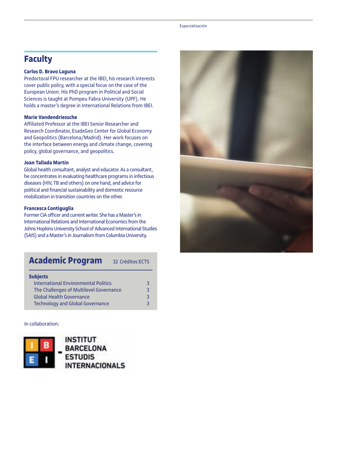#### Especialización

## **Faculty**

#### **Carlos D. Bravo Laguna**

Predoctoral FPU researcher at the IBEI, his research interests cover public policy, with a special focus on the case of the European Union. His PhD program in Political and Social Sciences is taught at Pompeu Fabra University (UPF). He holds a master's degree in International Relations from IBEI.

#### **Marie Vandendriessche**

Affiliated Professor at the IBEI Senior Researcher and Research Coordinator, EsadeGeo Center for Global Economy and Geopolitics (Barcelona/Madrid). Her work focuses on the interface between energy and climate change, covering policy, global governance, and geopolitics.

#### **Joan Tallada Martín**

Global health consultant, analyst and educator. As a consultant, he concentrates in evaluating healthcare programs in infectious diseases (HIV, TB and others) on one hand, and advice for political and financial sustainability and domestic resource mobilization in transition countries on the other.

#### **Francesca Contiguglia**

Former CIA officer and current writer. She has a Master's in International Relations and International Economics from the Johns Hopkins University School of Advanced International Studies (SAIS) and a Master's in Journalism from Columbia University.

## **Academic Program** 32 Créditos ECTS

| <b>Subjects</b>                             |  |
|---------------------------------------------|--|
| <b>International Environmental Politics</b> |  |
| The Challenges of Multilevel Governance     |  |
| <b>Global Health Governance</b>             |  |
| <b>Technology and Global Governance</b>     |  |

#### In collaboration: